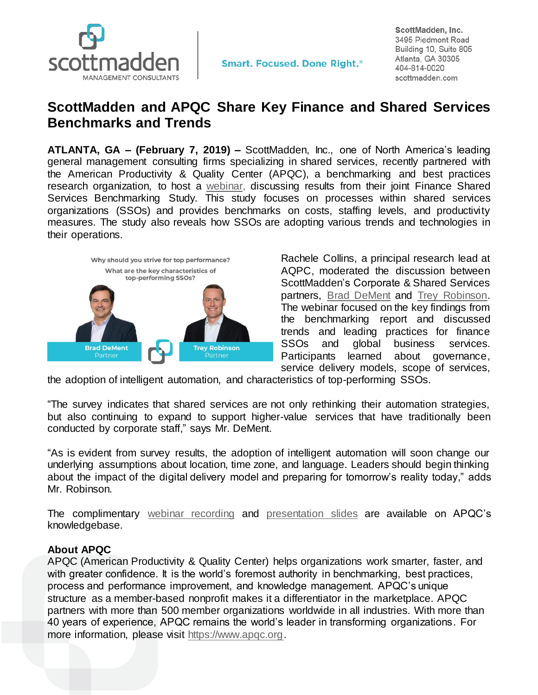

ScottMadden, Inc. 3495 Piedmont Road Building 10, Suite 805 Atlanta, GA 30305 404-814-0020 scottmadden.com

## **ScottMadden and APQC Share Key Finance and Shared Services Benchmarks and Trends**

**ATLANTA, GA – (February 7, 2019) –** ScottMadden, Inc., one of North America's leading general management consulting firms specializing in shared services, recently partnered with the American Productivity & Quality Center (APQC), a benchmarking and best practices research organization, to host a [webinar,](https://www.apqc.org/knowledge-base/documents/finance-shared-services-benchmarks-and-trends-webinar) discussing results from their joint Finance Shared Services Benchmarking Study. This study focuses on processes within shared services organizations (SSOs) and provides benchmarks on costs, staffing levels, and productivity measures. The study also reveals how SSOs are adopting various trends and technologies in their operations.



Rachele Collins, a principal research lead at AQPC, moderated the discussion between ScottMadden's Corporate & Shared Services partners, [Brad DeMent](https://www.scottmadden.com/person/brad-dement/) and [Trey Robinson.](https://www.scottmadden.com/person/trey-robinson/) The webinar focused on the key findings from the benchmarking report and discussed trends and leading practices for finance SSOs and global business services. Participants learned about governance, service delivery models, scope of services,

the adoption of intelligent automation, and characteristics of top-performing SSOs.

"The survey indicates that shared services are not only rethinking their automation strategies, but also continuing to expand to support higher-value services that have traditionally been conducted by corporate staff," says Mr. DeMent.

"As is evident from survey results, the adoption of intelligent automation will soon change our underlying assumptions about location, time zone, and language. Leaders should begin thinking about the impact of the digital delivery model and preparing for tomorrow's reality today," adds Mr. Robinson.

The complimentary [webinar recording](https://www.apqc.org/knowledge-base/documents/finance-shared-services-benchmarks-and-trends-webinar) and [presentation slides](https://www.apqc.org/knowledge-base/documents/finance-shared-services-benchmarks-and-trends-slides) are available on APQC's knowledgebase.

## **About APQC**

APQC (American Productivity & Quality Center) helps organizations work smarter, faster, and with greater confidence. It is the world's foremost authority in benchmarking, best practices, process and performance improvement, and knowledge management. APQC's unique structure as a member-based nonprofit makes it a differentiator in the marketplace. APQC partners with more than 500 member organizations worldwide in all industries. With more than 40 years of experience, APQC remains the world's leader in transforming organizations. For more information, please visit [https://www.apqc.org.](https://www.apqc.org/)